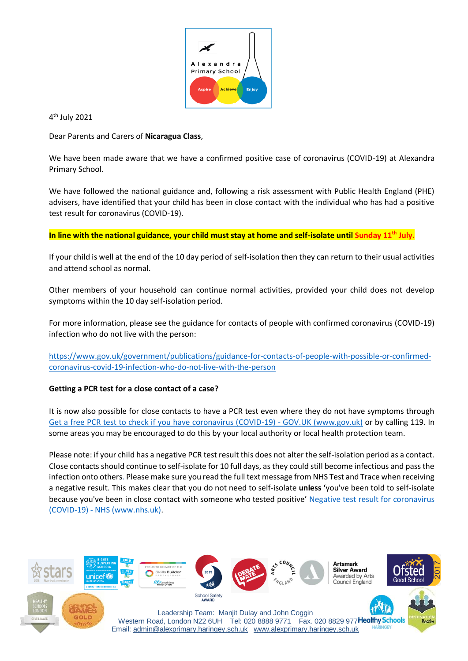

4<sup>th</sup> July 2021

Dear Parents and Carers of **Nicaragua Class**,

We have been made aware that we have a confirmed positive case of coronavirus (COVID-19) at Alexandra Primary School.

We have followed the national guidance and, following a risk assessment with Public Health England (PHE) advisers, have identified that your child has been in close contact with the individual who has had a positive test result for coronavirus (COVID-19).

**In line with the national guidance, your child must stay at home and self-isolate until Sunday 11th July.**

If your child is well at the end of the 10 day period of self-isolation then they can return to their usual activities and attend school as normal.

Other members of your household can continue normal activities, provided your child does not develop symptoms within the 10 day self-isolation period.

For more information, please see the guidance for contacts of people with confirmed coronavirus (COVID-19) infection who do not live with the person:

[https://www.gov.uk/government/publications/guidance-for-contacts-of-people-with-possible-or-confirmed](https://www.gov.uk/government/publications/guidance-for-contacts-of-people-with-possible-or-confirmed-coronavirus-covid-19-infection-who-do-not-live-with-the-person)[coronavirus-covid-19-infection-who-do-not-live-with-the-person](https://www.gov.uk/government/publications/guidance-for-contacts-of-people-with-possible-or-confirmed-coronavirus-covid-19-infection-who-do-not-live-with-the-person)

## **Getting a PCR test for a close contact of a case?**

It is now also possible for close contacts to have a PCR test even where they do not have symptoms through [Get a free PCR test to check if you have coronavirus \(COVID-19\) -](https://www.gov.uk/get-coronavirus-test?priority-taxon=774cee22-d896-44c1-a611-e3109cce8eae) GOV.UK (www.gov.uk) or by calling 119. In some areas you may be encouraged to do this by your local authority or local health protection team.

Please note: if your child has a negative PCR test result this does not alter the self-isolation period as a contact. Close contacts should continue to self-isolate for 10 full days, as they could still become infectious and pass the infection onto others. Please make sure you read the full text message from NHS Test and Trace when receiving a negative result. This makes clear that you do not need to self-isolate **unless '**you've been told to self-isolate because you've been in close contact with someone who tested positive' [Negative test result for coronavirus](https://www.nhs.uk/conditions/coronavirus-covid-19/testing/test-results/negative-test-result/)  (COVID-19) - [NHS \(www.nhs.uk\).](https://www.nhs.uk/conditions/coronavirus-covid-19/testing/test-results/negative-test-result/)

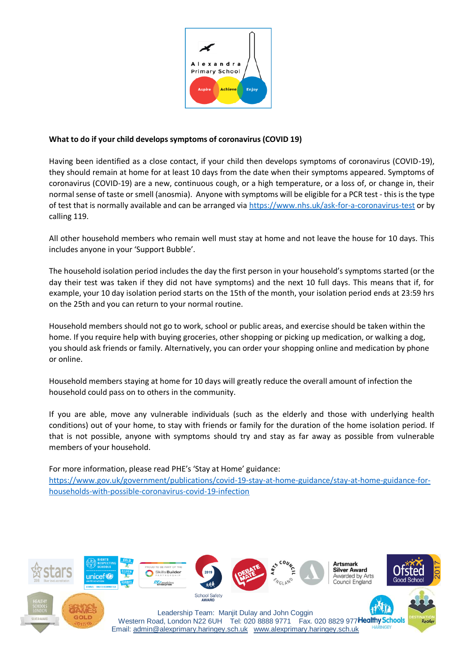

### **What to do if your child develops symptoms of coronavirus (COVID 19)**

Having been identified as a close contact, if your child then develops symptoms of coronavirus (COVID-19), they should remain at home for at least 10 days from the date when their symptoms appeared. Symptoms of coronavirus (COVID-19) are a new, continuous cough, or a high temperature, or a loss of, or change in, their normal sense of taste or smell (anosmia). Anyone with symptoms will be eligible for a PCR test - this is the type of test that is normally available and can be arranged via<https://www.nhs.uk/ask-for-a-coronavirus-test> or by calling 119.

All other household members who remain well must stay at home and not leave the house for 10 days. This includes anyone in your 'Support Bubble'.

The household isolation period includes the day the first person in your household's symptoms started (or the day their test was taken if they did not have symptoms) and the next 10 full days. This means that if, for example, your 10 day isolation period starts on the 15th of the month, your isolation period ends at 23:59 hrs on the 25th and you can return to your normal routine.

Household members should not go to work, school or public areas, and exercise should be taken within the home. If you require help with buying groceries, other shopping or picking up medication, or walking a dog, you should ask friends or family. Alternatively, you can order your shopping online and medication by phone or online.

Household members staying at home for 10 days will greatly reduce the overall amount of infection the household could pass on to others in the community.

If you are able, move any vulnerable individuals (such as the elderly and those with underlying health conditions) out of your home, to stay with friends or family for the duration of the home isolation period. If that is not possible, anyone with symptoms should try and stay as far away as possible from vulnerable members of your household.

For more information, please read PHE's 'Stay at Home' guidance: [https://www.gov.uk/government/publications/covid-19-stay-at-home-guidance/stay-at-home-guidance-for](https://www.gov.uk/government/publications/covid-19-stay-at-home-guidance/stay-at-home-guidance-for-households-with-possible-coronavirus-covid-19-infection)[households-with-possible-coronavirus-covid-19-infection](https://www.gov.uk/government/publications/covid-19-stay-at-home-guidance/stay-at-home-guidance-for-households-with-possible-coronavirus-covid-19-infection)